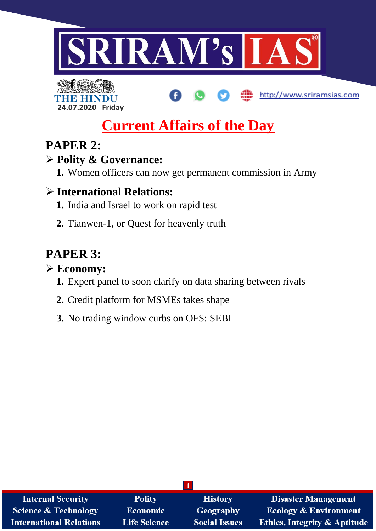



# **Current Affairs of the Day**

http://www.sriramsias.com

### **PAPER 2:**

### **Polity & Governance:**

**1.** Women officers can now get permanent commission in Army

### **International Relations:**

- **1.** India and Israel to work on rapid test
- **2.** Tianwen-1, or Quest for heavenly truth

## **PAPER 3:**

### **Economy:**

- **1.** Expert panel to soon clarify on data sharing between rivals
- **2.** Credit platform for MSMEs takes shape
- **3.** No trading window curbs on OFS: SEBI

| <b>Internal Security</b>        | <b>Polity</b>       | <b>History</b>       | <b>Disaster Management</b>              |
|---------------------------------|---------------------|----------------------|-----------------------------------------|
| <b>Science &amp; Technology</b> | <b>Economic</b>     | Geography            | <b>Ecology &amp; Environment</b>        |
| <b>International Relations</b>  | <b>Life Science</b> | <b>Social Issues</b> | <b>Ethics, Integrity &amp; Aptitude</b> |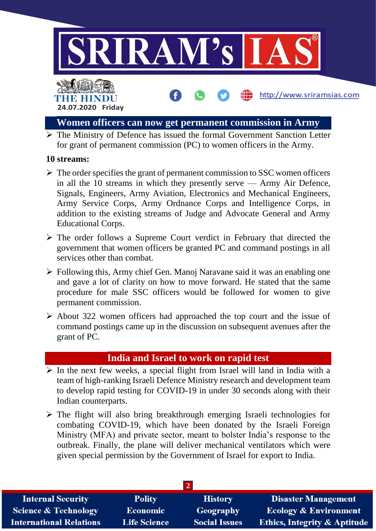

http://www.sriramsias.com

### THE HINDL **24.07.2020 Friday**

#### **Women officers can now get permanent commission in Army**

 $\triangleright$  The Ministry of Defence has issued the formal Government Sanction Letter for grant of permanent commission (PC) to women officers in the Army.

#### **10 streams:**

- $\triangleright$  The order specifies the grant of permanent commission to SSC women officers in all the 10 streams in which they presently serve — Army Air Defence, Signals, Engineers, Army Aviation, Electronics and Mechanical Engineers, Army Service Corps, Army Ordnance Corps and Intelligence Corps, in addition to the existing streams of Judge and Advocate General and Army Educational Corps.
- $\triangleright$  The order follows a Supreme Court verdict in February that directed the government that women officers be granted PC and command postings in all services other than combat.
- Following this, Army chief Gen. Manoj Naravane said it was an enabling one and gave a lot of clarity on how to move forward. He stated that the same procedure for male SSC officers would be followed for women to give permanent commission.
- $\triangleright$  About 322 women officers had approached the top court and the issue of command postings came up in the discussion on subsequent avenues after the grant of PC.

#### **India and Israel to work on rapid test**

- $\triangleright$  In the next few weeks, a special flight from Israel will land in India with a team of high-ranking Israeli Defence Ministry research and development team to develop rapid testing for COVID-19 in under 30 seconds along with their Indian counterparts.
- $\triangleright$  The flight will also bring breakthrough emerging Israeli technologies for combating COVID-19, which have been donated by the Israeli Foreign Ministry (MFA) and private sector, meant to bolster India's response to the outbreak. Finally, the plane will deliver mechanical ventilators which were given special permission by the Government of Israel for export to India.

| <b>Internal Security</b>        | <b>Polity</b>       | <b>History</b>       | <b>Disaster Management</b>              |
|---------------------------------|---------------------|----------------------|-----------------------------------------|
| <b>Science &amp; Technology</b> | <b>Economic</b>     | Geography            | <b>Ecology &amp; Environment</b>        |
| <b>International Relations</b>  | <b>Life Science</b> | <b>Social Issues</b> | <b>Ethics, Integrity &amp; Aptitude</b> |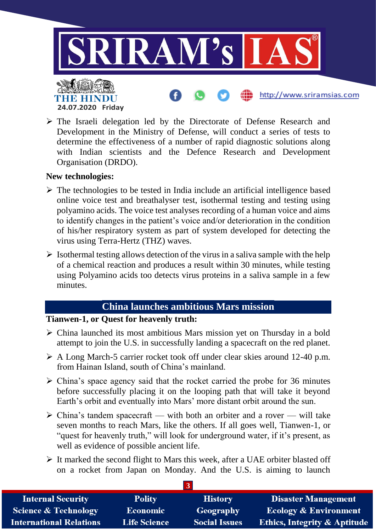

 The Israeli delegation led by the Directorate of Defense Research and Development in the Ministry of Defense, will conduct a series of tests to determine the effectiveness of a number of rapid diagnostic solutions along with Indian scientists and the Defence Research and Development Organisation (DRDO).

#### **New technologies:**

- $\triangleright$  The technologies to be tested in India include an artificial intelligence based online voice test and breathalyser test, isothermal testing and testing using polyamino acids. The voice test analyses recording of a human voice and aims to identify changes in the patient's voice and/or deterioration in the condition of his/her respiratory system as part of system developed for detecting the virus using Terra-Hertz (THZ) waves.
- $\triangleright$  Isothermal testing allows detection of the virus in a saliva sample with the help of a chemical reaction and produces a result within 30 minutes, while testing using Polyamino acids too detects virus proteins in a saliva sample in a few minutes.

#### **China launches ambitious Mars mission**

#### **Tianwen-1, or Quest for heavenly truth:**

- China launched its most ambitious Mars mission yet on Thursday in a bold attempt to join the U.S. in successfully landing a spacecraft on the red planet.
- A Long March-5 carrier rocket took off under clear skies around 12-40 p.m. from Hainan Island, south of China's mainland.
- $\triangleright$  China's space agency said that the rocket carried the probe for 36 minutes before successfully placing it on the looping path that will take it beyond Earth's orbit and eventually into Mars' more distant orbit around the sun.
- $\triangleright$  China's tandem spacecraft with both an orbiter and a rover will take seven months to reach Mars, like the others. If all goes well, Tianwen-1, or "quest for heavenly truth," will look for underground water, if it's present, as well as evidence of possible ancient life.
- $\triangleright$  It marked the second flight to Mars this week, after a UAE orbiter blasted off on a rocket from Japan on Monday. And the U.S. is aiming to launch

| <b>Internal Security</b>        | <b>Polity</b>       | <b>History</b>       | <b>Disaster Management</b>              |
|---------------------------------|---------------------|----------------------|-----------------------------------------|
| <b>Science &amp; Technology</b> | <b>Economic</b>     | Geography            | <b>Ecology &amp; Environment</b>        |
| <b>International Relations</b>  | <b>Life Science</b> | <b>Social Issues</b> | <b>Ethics, Integrity &amp; Aptitude</b> |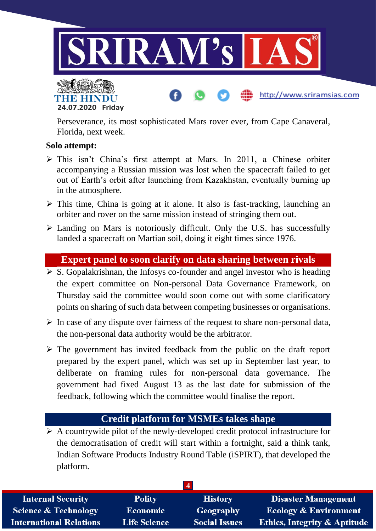

Perseverance, its most sophisticated Mars rover ever, from Cape Canaveral, Florida, next week.

#### **Solo attempt:**

**24.07.2020 Friday**

- This isn't China's first attempt at Mars. In 2011, a Chinese orbiter accompanying a Russian mission was lost when the spacecraft failed to get out of Earth's orbit after launching from Kazakhstan, eventually burning up in the atmosphere.
- $\triangleright$  This time, China is going at it alone. It also is fast-tracking, launching an orbiter and rover on the same mission instead of stringing them out.
- $\triangleright$  Landing on Mars is notoriously difficult. Only the U.S. has successfully landed a spacecraft on Martian soil, doing it eight times since 1976.

#### **Expert panel to soon clarify on data sharing between rivals**

- $\overline{\triangleright}$  S. Gopalakrishnan, the Infosys co-founder and angel investor who is heading the expert committee on Non-personal Data Governance Framework, on Thursday said the committee would soon come out with some clarificatory points on sharing of such data between competing businesses or organisations.
- $\triangleright$  In case of any dispute over fairness of the request to share non-personal data, the non-personal data authority would be the arbitrator.
- $\triangleright$  The government has invited feedback from the public on the draft report prepared by the expert panel, which was set up in September last year, to deliberate on framing rules for non-personal data governance. The government had fixed August 13 as the last date for submission of the feedback, following which the committee would finalise the report.

#### **Credit platform for MSMEs takes shape**

 $\triangleright$  A countrywide pilot of the newly-developed credit protocol infrastructure for the democratisation of credit will start within a fortnight, said a think tank, Indian Software Products Industry Round Table (iSPIRT), that developed the platform.

| <b>Internal Security</b>       | <b>Polity</b>       | <b>History</b>       | <b>Disaster Management</b>              |
|--------------------------------|---------------------|----------------------|-----------------------------------------|
| Science & Technology           | <b>Economic</b>     | Geography            | <b>Ecology &amp; Environment</b>        |
| <b>International Relations</b> | <b>Life Science</b> | <b>Social Issues</b> | <b>Ethics, Integrity &amp; Aptitude</b> |